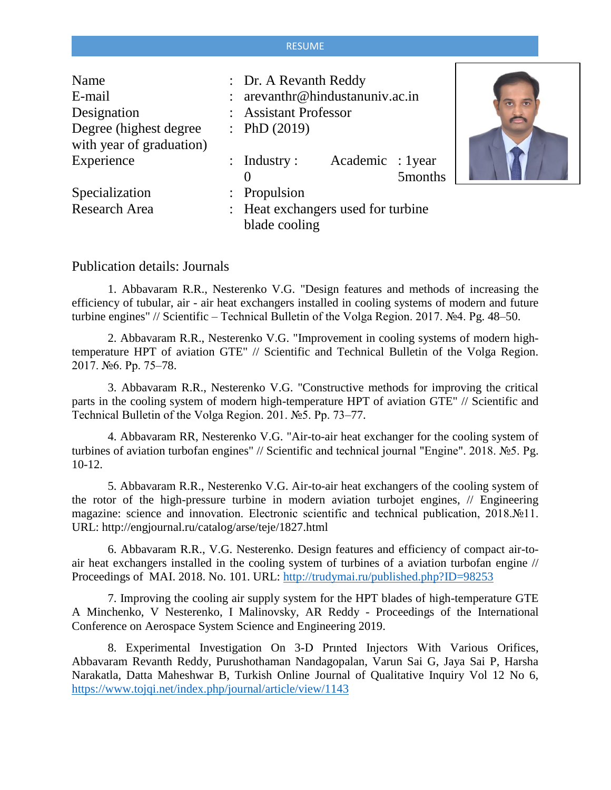## RESUME

| Name<br>E-mail<br>Designation<br>Degree (highest degree)<br>with year of graduation) | : Dr. A Revanth Reddy<br>arevanthr@hindustanuniv.ac.in<br><b>Assistant Professor</b><br>: PhD $(2019)$ |  |
|--------------------------------------------------------------------------------------|--------------------------------------------------------------------------------------------------------|--|
| Experience                                                                           | Academic : 1year<br>$:$ Industry $:$<br>5months                                                        |  |
| Specialization                                                                       | : Propulsion                                                                                           |  |
| Research Area                                                                        | : Heat exchangers used for turbine<br>blade cooling                                                    |  |



## Publication details: Journals

1. Abbavaram R.R., Nesterenko V.G. "Design features and methods of increasing the efficiency of tubular, air - air heat exchangers installed in cooling systems of modern and future turbine engines" // Scientific – Technical Bulletin of the Volga Region. 2017. №4. Pg. 48–50.

2. Abbavaram R.R., Nesterenko V.G. "Improvement in cooling systems of modern hightemperature HPT of aviation GTE" // Scientific and Technical Bulletin of the Volga Region. 2017. №6. Pp. 75–78.

3. Abbavaram R.R., Nesterenko V.G. "Constructive methods for improving the critical parts in the cooling system of modern high-temperature HPT of aviation GTE" // Scientific and Technical Bulletin of the Volga Region. 201. №5. Pp. 73–77.

4. Abbavaram RR, Nesterenko V.G. "Air-to-air heat exchanger for the cooling system of turbines of aviation turbofan engines" // Scientific and technical journal "Engine". 2018. №5. Pg. 10-12.

5. Abbavaram R.R., Nesterenko V.G. Air-to-air heat exchangers of the cooling system of the rotor of the high-pressure turbine in modern aviation turbojet engines, // Engineering magazine: science and innovation. Electronic scientific and technical publication, 2018.№11. URL: http://engjournal.ru/catalog/arse/teje/1827.html

6. Abbavaram R.R., V.G. Nesterenko. Design features and efficiency of compact air-toair heat exchangers installed in the cooling system of turbines of a aviation turbofan engine // Proceedings of MAI. 2018. No. 101. URL:<http://trudymai.ru/published.php?ID=98253>

7. Improving the cooling air supply system for the HPT blades of high-temperature GTE A Minchenko, V Nesterenko, I Malinovsky, AR Reddy - Proceedings of the International Conference on Aerospace System Science and Engineering 2019.

8. Experimental Investigation On 3-D Prınted Injectors With Various Orifices, Abbavaram Revanth Reddy, Purushothaman Nandagopalan, Varun Sai G, Jaya Sai P, Harsha Narakatla, Datta Maheshwar B, Turkish Online Journal of Qualitative Inquiry Vol 12 No 6, <https://www.tojqi.net/index.php/journal/article/view/1143>